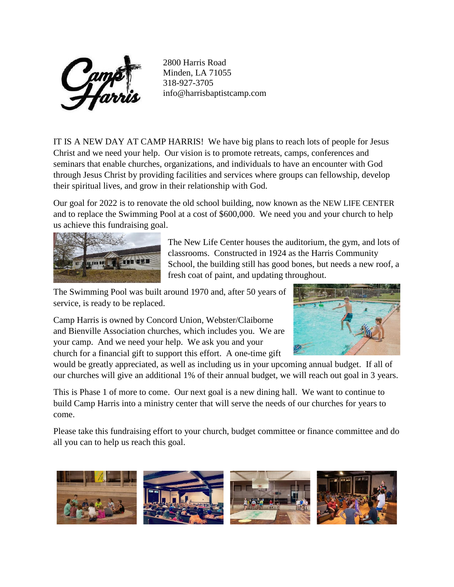

2800 Harris Road Minden, LA 71055 318-927-3705 info@harrisbaptistcamp.com

IT IS A NEW DAY AT CAMP HARRIS! We have big plans to reach lots of people for Jesus Christ and we need your help. Our vision is to promote retreats, camps, conferences and seminars that enable churches, organizations, and individuals to have an encounter with God through Jesus Christ by providing facilities and services where groups can fellowship, develop their spiritual lives, and grow in their relationship with God.

Our goal for 2022 is to renovate the old school building, now known as the NEW LIFE CENTER and to replace the Swimming Pool at a cost of \$600,000. We need you and your church to help us achieve this fundraising goal.



The New Life Center houses the auditorium, the gym, and lots of classrooms. Constructed in 1924 as the Harris Community School, the building still has good bones, but needs a new roof, a fresh coat of paint, and updating throughout.

The Swimming Pool was built around 1970 and, after 50 years of service, is ready to be replaced.

Camp Harris is owned by Concord Union, Webster/Claiborne and Bienville Association churches, which includes you. We are your camp. And we need your help. We ask you and your church for a financial gift to support this effort. A one-time gift



would be greatly appreciated, as well as including us in your upcoming annual budget. If all of our churches will give an additional 1% of their annual budget, we will reach out goal in 3 years.

This is Phase 1 of more to come. Our next goal is a new dining hall. We want to continue to build Camp Harris into a ministry center that will serve the needs of our churches for years to come.

Please take this fundraising effort to your church, budget committee or finance committee and do all you can to help us reach this goal.